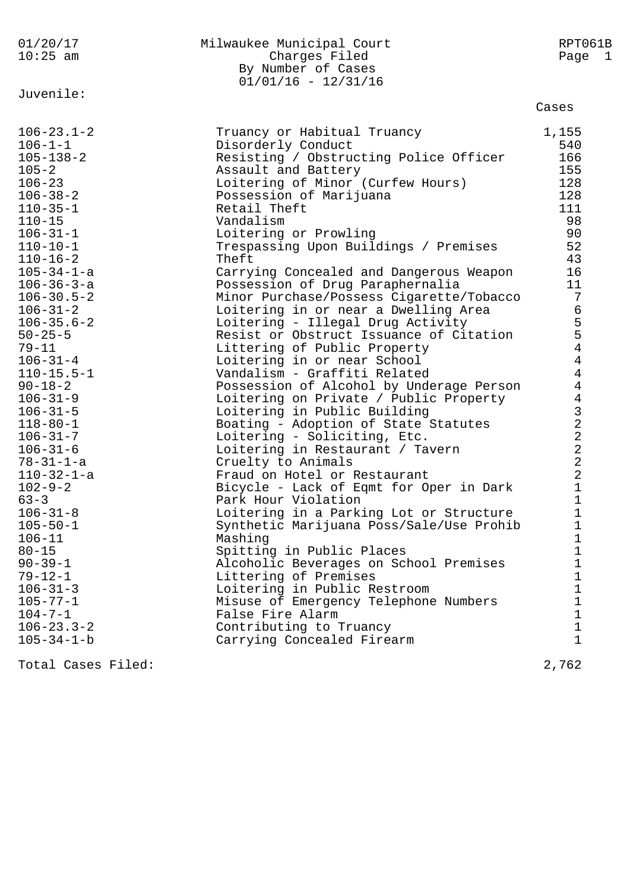| 01/20/17<br>$10:25$ am                                                                                                                                                                                                                                                                                                                                                                                                                                                                                                                                                                                                                                                                                                                               | Milwaukee Municipal Court<br>Charges Filed<br>By Number of Cases<br>$01/01/16 - 12/31/16$                                                                                                                                                                                                                                                                                                                                                                                                                                                                                                                                                                                                                                                                                                                                                                                                                                                                                                                                                                                                                                                                                                                                                                                                                                                                      | RPT061B<br>Page 1                                                                                                                                                                                                                                                                                                                                                                        |
|------------------------------------------------------------------------------------------------------------------------------------------------------------------------------------------------------------------------------------------------------------------------------------------------------------------------------------------------------------------------------------------------------------------------------------------------------------------------------------------------------------------------------------------------------------------------------------------------------------------------------------------------------------------------------------------------------------------------------------------------------|----------------------------------------------------------------------------------------------------------------------------------------------------------------------------------------------------------------------------------------------------------------------------------------------------------------------------------------------------------------------------------------------------------------------------------------------------------------------------------------------------------------------------------------------------------------------------------------------------------------------------------------------------------------------------------------------------------------------------------------------------------------------------------------------------------------------------------------------------------------------------------------------------------------------------------------------------------------------------------------------------------------------------------------------------------------------------------------------------------------------------------------------------------------------------------------------------------------------------------------------------------------------------------------------------------------------------------------------------------------|------------------------------------------------------------------------------------------------------------------------------------------------------------------------------------------------------------------------------------------------------------------------------------------------------------------------------------------------------------------------------------------|
| Juvenile:                                                                                                                                                                                                                                                                                                                                                                                                                                                                                                                                                                                                                                                                                                                                            |                                                                                                                                                                                                                                                                                                                                                                                                                                                                                                                                                                                                                                                                                                                                                                                                                                                                                                                                                                                                                                                                                                                                                                                                                                                                                                                                                                | Cases                                                                                                                                                                                                                                                                                                                                                                                    |
| $106 - 23.1 - 2$<br>$106 - 1 - 1$<br>$105 - 138 - 2$<br>$105 - 2$<br>$106 - 23$<br>$106 - 38 - 2$<br>$110 - 35 - 1$<br>$110 - 15$<br>$106 - 31 - 1$<br>$110 - 10 - 1$<br>$110 - 16 - 2$<br>$105 - 34 - 1 - a$<br>$106 - 36 - 3 - a$<br>$106 - 30.5 - 2$<br>$106 - 31 - 2$<br>$106 - 35.6 - 2$<br>$50 - 25 - 5$<br>$79 - 11$<br>$106 - 31 - 4$<br>$110 - 15.5 - 1$<br>$90 - 18 - 2$<br>$106 - 31 - 9$<br>$106 - 31 - 5$<br>$118 - 80 - 1$<br>$106 - 31 - 7$<br>$106 - 31 - 6$<br>$78 - 31 - 1 - a$<br>$110 - 32 - 1 - a$<br>$102 - 9 - 2$<br>$63 - 3$<br>$106 - 31 - 8$<br>$105 - 50 - 1$<br>$106 - 11$<br>$80 - 15$<br>$90 - 39 - 1$<br>$79 - 12 - 1$<br>$106 - 31 - 3$<br>$105 - 77 - 1$<br>$104 - 7 - 1$<br>$106 - 23.3 - 2$<br>$105 - 34 - 1 - b$ | Truancy or Habitual Truancy<br>Disorderly Conduct<br>Resisting / Obstructing Police Officer<br>Assault and Battery<br>Loitering of Minor (Curfew Hours)<br>Possession of Marijuana<br>Retail Theft<br>Vandalism<br>Loitering or Prowling<br>Trespassing Upon Buildings / Premises<br>Theft<br>Carrying Concealed and Dangerous Weapon<br>Possession of Drug Paraphernalia<br>Minor Purchase/Possess Cigarette/Tobacco<br>Loitering in or near a Dwelling Area<br>Loitering - Illegal Drug Activity<br>Resist or Obstruct Issuance of Citation<br>Littering of Public Property<br>Loitering in or near School<br>Vandalism - Graffiti Related<br>Possession of Alcohol by Underage Person<br>Loitering on Private / Public Property<br>Loitering in Public Building<br>Boating - Adoption of State Statutes<br>Loitering - Soliciting, Etc.<br>Loitering in Restaurant / Tavern<br>Cruelty to Animals<br>Fraud on Hotel or Restaurant<br>Bicycle - Lack of Eqmt for Oper in Dark<br>Park Hour Violation<br>Loitering in a Parking Lot or Structure<br>Synthetic Marijuana Poss/Sale/Use Prohib<br>Mashing<br>Spitting in Public Places<br>Alcoholic Beverages on School Premises<br>Littering of Premises<br>Loitering in Public Restroom<br>Misuse of Emergency Telephone Numbers<br>False Fire Alarm<br>Contributing to Truancy<br>Carrying Concealed Firearm | 1,155<br>540<br>166<br>155<br>128<br>128<br>111<br>98<br>90<br>52<br>43<br>16<br>11<br>$7\phantom{.0}$<br>6<br>$\frac{5}{4}$<br>4<br>$\overline{4}$<br>$\overline{4}$<br>$\overline{4}$<br>$\begin{array}{c} 3 \\ 2 \\ 2 \end{array}$<br>$\sqrt{2}$<br>$\sqrt{2}$<br>$\sqrt{2}$<br>1<br>$\mathbf 1$<br>$\mathbf 1$<br>1<br>1<br>1<br>1<br>$\mathbf 1$<br>1<br>1<br>1<br>$\mathbf 1$<br>1 |
| Total Cases Filed:                                                                                                                                                                                                                                                                                                                                                                                                                                                                                                                                                                                                                                                                                                                                   |                                                                                                                                                                                                                                                                                                                                                                                                                                                                                                                                                                                                                                                                                                                                                                                                                                                                                                                                                                                                                                                                                                                                                                                                                                                                                                                                                                | 2,762                                                                                                                                                                                                                                                                                                                                                                                    |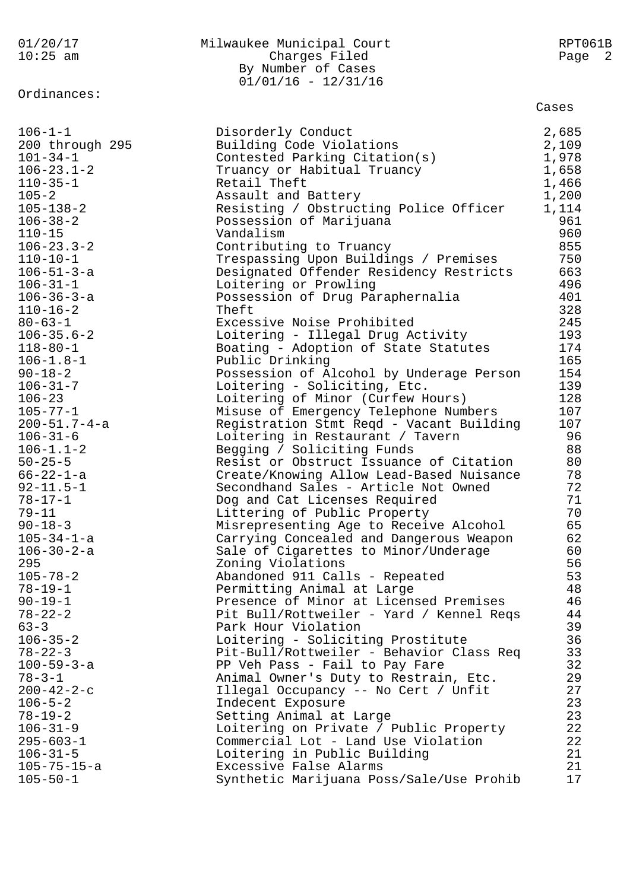01/20/17 Milwaukee Municipal Court RPT061B 10:25 am Charges Filed Page 2 By Number of Cases 01/01/16 - 12/31/16 Ordinances: Cases 106-1-1 Disorderly Conduct 2,685 200 through 295 Building Code Violations 2,109 101-34-1 Contested Parking Citation(s) 1,978 106-23.1-2 Truancy or Habitual Truancy 1,658 110-35-1 Retail Theft 1,466 105-2 Assault and Battery 1,200 105-138-2 Resisting / Obstructing Police Officer 1,114 106-38-2 Possession of Marijuana 961 110-15 Vandalism 960 106-23.3-2 Contributing to Truancy 855 110-10-1 Trespassing Upon Buildings / Premises 750 106-51-3-a Designated Offender Residency Restricts 663 106-31-1 Loitering or Prowling 496 106-36-3-a Possession of Drug Paraphernalia 401 110-16-2 Theft 328 80-63-1 Excessive Noise Prohibited 245 106-35.6-2 Loitering - Illegal Drug Activity 193 118-80-1 Boating - Adoption of State Statutes 174 106-1.8-1 Public Drinking 165 90-18-2 Possession of Alcohol by Underage Person 154 106-31-7 Loitering - Soliciting, Etc. 139 106-23 Loitering of Minor (Curfew Hours) 128 105-77-1 Misuse of Emergency Telephone Numbers 107 200-51.7-4-a Registration Stmt Reqd - Vacant Building 107 106-31-6 Loitering in Restaurant / Tavern 96 106-1.1-2 Begging / Soliciting Funds 88 50-25-5 Resist or Obstruct Issuance of Citation 80 66-22-1-a Create/Knowing Allow Lead-Based Nuisance 78 92-11.5-1 Secondhand Sales - Article Not Owned 72 78-17-1 Dog and Cat Licenses Required 71 79-11 **Littering of Public Property** 70 90-18-3 Misrepresenting Age to Receive Alcohol 65 105-34-1-a Carrying Concealed and Dangerous Weapon 62 106-30-2-a Sale of Cigarettes to Minor/Underage 60 295 Zoning Violations 56 105-78-2 Abandoned 911 Calls - Repeated 53 78-19-1 Permitting Animal at Large 48 90-19-1 Presence of Minor at Licensed Premises 46 78-22-2 Pit Bull/Rottweiler - Yard / Kennel Reqs 44 63-3 Park Hour Violation 39 106-35-2 Loitering - Soliciting Prostitute 36 78-22-3 Pit-Bull/Rottweiler - Behavior Class Req 33 100-59-3-a PP Veh Pass - Fail to Pay Fare 32 78-3-1 Animal Owner's Duty to Restrain, Etc. 29 200-42-2-c Illegal Occupancy -- No Cert / Unfit 27 106-5-2 Indecent Exposure 23 78-19-2 Setting Animal at Large 23 106-31-9 Loitering on Private / Public Property 22 295-603-1 Commercial Lot - Land Use Violation 22 106-31-5 Loitering in Public Building 21 105-75-15-a Excessive False Alarms 21 105-50-1 Synthetic Marijuana Poss/Sale/Use Prohib 17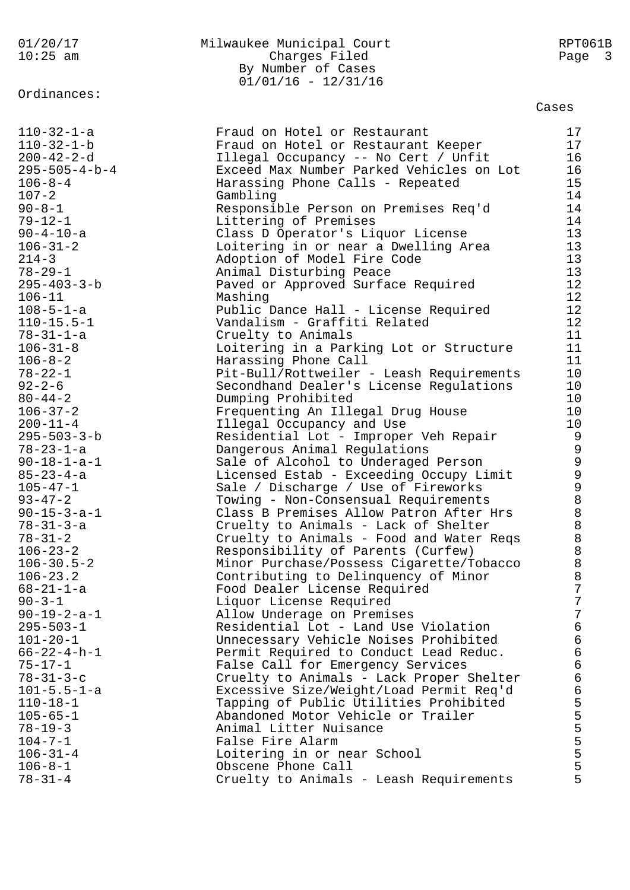Ordinances:

## 01/20/17 Milwaukee Municipal Court RPT061B Page 3 Charges Filed Page 3 By Number of Cases  $01/01/16 - 12/31/16$

Cases

| $110 - 32 - 1 - a$                    | Fraud on Hotel or Restaurant                                         | 17             |
|---------------------------------------|----------------------------------------------------------------------|----------------|
| $110 - 32 - 1 - b$                    | Fraud on Hotel or Restaurant Keeper                                  | 17             |
| $200 - 42 - 2 - d$                    | Illegal Occupancy -- No Cert / Unfit                                 | 16             |
| $295 - 505 - 4 - b - 4$               | Exceed Max Number Parked Vehicles on Lot                             | 16             |
| $106 - 8 - 4$                         | Harassing Phone Calls - Repeated                                     | 15             |
| $107 - 2$                             | Gambling                                                             | 14             |
| $90 - 8 - 1$                          | Responsible Person on Premises Req'd                                 | 14             |
| $79 - 12 - 1$                         | Littering of Premises                                                | 14             |
| $90 - 4 - 10 - a$                     | Class D Operator's Liquor License                                    | 13             |
| $106 - 31 - 2$                        | Loitering in or near a Dwelling Area                                 | 13             |
| $214 - 3$                             | Adoption of Model Fire Code                                          | 13             |
| $78 - 29 - 1$                         | Animal Disturbing Peace                                              | 13             |
| $295 - 403 - 3 - b$                   | Paved or Approved Surface Required                                   | 12             |
| $106 - 11$                            | Mashing                                                              | 12             |
| $108 - 5 - 1 - a$                     | Public Dance Hall - License Required<br>Vandalism - Graffiti Related | 12<br>12       |
| $110 - 15.5 - 1$<br>$78 - 31 - 1 - a$ |                                                                      | 11             |
| $106 - 31 - 8$                        | Cruelty to Animals<br>Loitering in a Parking Lot or Structure        | 11             |
| $106 - 8 - 2$                         | Harassing Phone Call                                                 | 11             |
| $78 - 22 - 1$                         | Pit-Bull/Rottweiler - Leash Requirements                             | 10             |
| $92 - 2 - 6$                          | Secondhand Dealer's License Regulations                              | 10             |
| $80 - 44 - 2$                         | Dumping Prohibited                                                   | 10             |
| $106 - 37 - 2$                        | Frequenting An Illegal Drug House                                    | 10             |
| $200 - 11 - 4$                        | Illegal Occupancy and Use                                            | 10             |
| $295 - 503 - 3 - b$                   | Residential Lot - Improper Veh Repair                                | 9              |
| $78 - 23 - 1 - a$                     | Dangerous Animal Regulations                                         | $\mathsf 9$    |
| $90 - 18 - 1 - a - 1$                 | Sale of Alcohol to Underaged Person                                  |                |
| $85 - 23 - 4 - a$                     | Licensed Estab - Exceeding Occupy Limit                              |                |
| $105 - 47 - 1$                        | Sale / Discharge / Use of Fireworks                                  |                |
| $93 - 47 - 2$                         | Towing - Non-Consensual Requirements                                 |                |
| $90 - 15 - 3 - a - 1$                 | Class B Premises Allow Patron After Hrs                              |                |
| $78 - 31 - 3 - a$                     | Cruelty to Animals - Lack of Shelter                                 |                |
| $78 - 31 - 2$                         | Cruelty to Animals - Food and Water Reqs                             |                |
| $106 - 23 - 2$                        | Responsibility of Parents (Curfew)                                   |                |
| $106 - 30.5 - 2$                      | Minor Purchase/Possess Cigarette/Tobacco                             |                |
| $106 - 23.2$                          | Contributing to Delinquency of Minor                                 | $\overline{7}$ |
| $68 - 21 - 1 - a$<br>$90 - 3 - 1$     | Food Dealer License Required                                         | 7              |
| $90 - 19 - 2 - a - 1$                 | Liquor License Required<br>Allow Underage on Premises                | 7              |
| $295 - 503 - 1$                       | Residential Lot - Land Use Violation                                 | $\sqrt{6}$     |
| $101 - 20 - 1$                        | Unnecessary Vehicle Noises Prohibited                                | $\sqrt{6}$     |
| $66 - 22 - 4 - h - 1$                 | Permit Required to Conduct Lead Reduc.                               | $\epsilon$     |
| $75 - 17 - 1$                         | False Call for Emergency Services                                    | $\sqrt{6}$     |
| $78 - 31 - 3 - c$                     | Cruelty to Animals - Lack Proper Shelter                             | $\sqrt{6}$     |
| $101 - 5.5 - 1 - a$                   | Excessive Size/Weight/Load Permit Req'd                              | $\epsilon$     |
| $110 - 18 - 1$                        | Tapping of Public Utilities Prohibited                               |                |
| $105 - 65 - 1$                        | Abandoned Motor Vehicle or Trailer                                   |                |
| $78 - 19 - 3$                         | Animal Litter Nuisance                                               | 55555          |
| $104 - 7 - 1$                         | False Fire Alarm                                                     |                |
| $106 - 31 - 4$                        | Loitering in or near School                                          |                |
| $106 - 8 - 1$                         | Obscene Phone Call                                                   | 5              |
| $78 - 31 - 4$                         | Cruelty to Animals - Leash Requirements                              | 5              |
|                                       |                                                                      |                |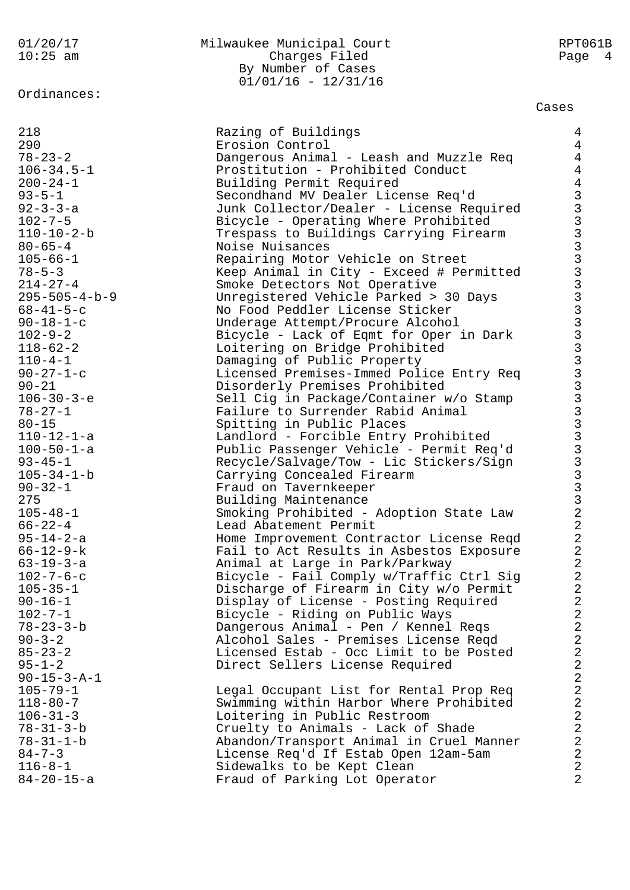Ordinances:

#### 01/20/17 Milwaukee Municipal Court RPT061B 10:25 am Charges Filed Page 4 By Number of Cases 01/01/16 - 12/31/16

#### Cases

| 218                     | Razing of Buildings                      | $\overline{4}$                                                                                                                                                                                                                 |
|-------------------------|------------------------------------------|--------------------------------------------------------------------------------------------------------------------------------------------------------------------------------------------------------------------------------|
| 290                     | Erosion Control                          | $\overline{4}$                                                                                                                                                                                                                 |
| $78 - 23 - 2$           | Dangerous Animal - Leash and Muzzle Req  | $\overline{4}$                                                                                                                                                                                                                 |
| $106 - 34.5 - 1$        | Prostitution - Prohibited Conduct        | $\overline{4}$                                                                                                                                                                                                                 |
| $200 - 24 - 1$          | Building Permit Required                 | $\overline{4}$                                                                                                                                                                                                                 |
| $93 - 5 - 1$            | Secondhand MV Dealer License Req'd       |                                                                                                                                                                                                                                |
| $92 - 3 - 3 - a$        | Junk Collector/Dealer - License Required |                                                                                                                                                                                                                                |
| $102 - 7 - 5$           | Bicycle - Operating Where Prohibited     |                                                                                                                                                                                                                                |
| $110 - 10 - 2 - b$      | Trespass to Buildings Carrying Firearm   |                                                                                                                                                                                                                                |
| $80 - 65 - 4$           | Noise Nuisances                          |                                                                                                                                                                                                                                |
| $105 - 66 - 1$          | Repairing Motor Vehicle on Street        |                                                                                                                                                                                                                                |
| $78 - 5 - 3$            | Keep Animal in City - Exceed # Permitted |                                                                                                                                                                                                                                |
| $214 - 27 - 4$          | Smoke Detectors Not Operative            |                                                                                                                                                                                                                                |
| $295 - 505 - 4 - b - 9$ | Unregistered Vehicle Parked > 30 Days    |                                                                                                                                                                                                                                |
| $68 - 41 - 5 - c$       | No Food Peddler License Sticker          |                                                                                                                                                                                                                                |
| $90 - 18 - 1 - c$       | Underage Attempt/Procure Alcohol         |                                                                                                                                                                                                                                |
| $102 - 9 - 2$           | Bicycle - Lack of Eqmt for Oper in Dark  |                                                                                                                                                                                                                                |
| $118 - 62 - 2$          | Loitering on Bridge Prohibited           |                                                                                                                                                                                                                                |
| $110 - 4 - 1$           | Damaging of Public Property              |                                                                                                                                                                                                                                |
| $90 - 27 - 1 - c$       | Licensed Premises-Immed Police Entry Req |                                                                                                                                                                                                                                |
| $90 - 21$               | Disorderly Premises Prohibited           |                                                                                                                                                                                                                                |
| $106 - 30 - 3 - e$      | Sell Cig in Package/Container w/o Stamp  |                                                                                                                                                                                                                                |
| $78 - 27 - 1$           | Failure to Surrender Rabid Animal        |                                                                                                                                                                                                                                |
| $80 - 15$               | Spitting in Public Places                |                                                                                                                                                                                                                                |
| $110 - 12 - 1 - a$      | Landlord - Forcible Entry Prohibited     |                                                                                                                                                                                                                                |
| $100 - 50 - 1 - a$      | Public Passenger Vehicle - Permit Req'd  |                                                                                                                                                                                                                                |
| $93 - 45 - 1$           | Recycle/Salvage/Tow - Lic Stickers/Sign  | COMPOS CAR CONDINATO CONDICATA CONDICATA CONDICATA CONDICATA CONDICATA CONDICATA CONDICATA CONDICATA CONDICATA CONDICATA CONDICATA CONDICATA CONDICATA CONDICATA CONDICATA CONDICATA CONDICATA CONDICATA CONDICATA CONDICATA C |
| $105 - 34 - 1 - b$      | Carrying Concealed Firearm               |                                                                                                                                                                                                                                |
| $90 - 32 - 1$           | Fraud on Tavernkeeper                    |                                                                                                                                                                                                                                |
| 275                     | Building Maintenance                     |                                                                                                                                                                                                                                |
| $105 - 48 - 1$          | Smoking Prohibited - Adoption State Law  |                                                                                                                                                                                                                                |
| $66 - 22 - 4$           | Lead Abatement Permit                    | $\overline{2}$                                                                                                                                                                                                                 |
| $95 - 14 - 2 - a$       | Home Improvement Contractor License Reqd | $\overline{2}$                                                                                                                                                                                                                 |
| $66 - 12 - 9 - k$       | Fail to Act Results in Asbestos Exposure | $\overline{2}$                                                                                                                                                                                                                 |
| $63 - 19 - 3 - a$       | Animal at Large in Park/Parkway          | $\overline{2}$                                                                                                                                                                                                                 |
| $102 - 7 - 6 - c$       | Bicycle - Fail Comply w/Traffic Ctrl Sig | $\overline{2}$                                                                                                                                                                                                                 |
| $105 - 35 - 1$          | Discharge of Firearm in City w/o Permit  | $\overline{2}$                                                                                                                                                                                                                 |
| $90 - 16 - 1$           | Display of License - Posting Required    | 2                                                                                                                                                                                                                              |
| $102 - 7 - 1$           | Bicycle - Riding on Public Ways          | $\sqrt{2}$                                                                                                                                                                                                                     |
| $78 - 23 - 3 - b$       | Dangerous Animal - Pen / Kennel Reqs     | $\overline{2}$                                                                                                                                                                                                                 |
| $90 - 3 - 2$            | Alcohol Sales - Premises License Regd    | $\overline{2}$                                                                                                                                                                                                                 |
| $85 - 23 - 2$           | Licensed Estab - Occ Limit to be Posted  | $\sqrt{2}$                                                                                                                                                                                                                     |
| $95 - 1 - 2$            | Direct Sellers License Required          | $\overline{2}$                                                                                                                                                                                                                 |
| $90 - 15 - 3 - A - 1$   |                                          | $\overline{2}$                                                                                                                                                                                                                 |
| $105 - 79 - 1$          | Legal Occupant List for Rental Prop Req  | $\overline{2}$                                                                                                                                                                                                                 |
| $118 - 80 - 7$          | Swimming within Harbor Where Prohibited  | $\sqrt{2}$                                                                                                                                                                                                                     |
| $106 - 31 - 3$          | Loitering in Public Restroom             | $\overline{2}$                                                                                                                                                                                                                 |
| $78 - 31 - 3 - b$       | Cruelty to Animals - Lack of Shade       | $\overline{2}$                                                                                                                                                                                                                 |
| $78 - 31 - 1 - b$       | Abandon/Transport Animal in Cruel Manner | $\overline{2}$                                                                                                                                                                                                                 |
| $84 - 7 - 3$            | License Req'd If Estab Open 12am-5am     | $\overline{2}$                                                                                                                                                                                                                 |
| $116 - 8 - 1$           | Sidewalks to be Kept Clean               | $\overline{2}$                                                                                                                                                                                                                 |
| $84 - 20 - 15 - a$      | Fraud of Parking Lot Operator            | $\overline{2}$                                                                                                                                                                                                                 |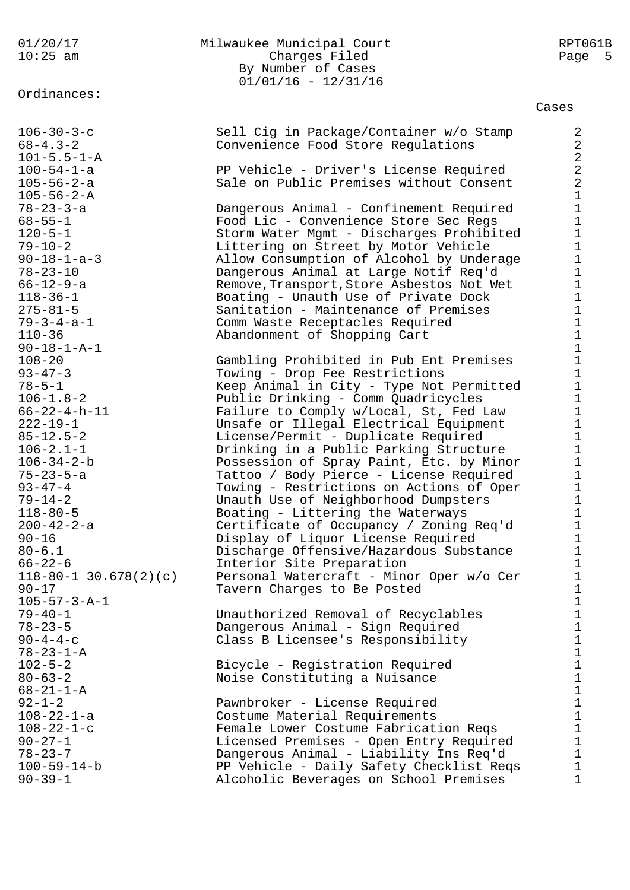Ordinances:

### 01/20/17 Milwaukee Municipal Court RPT061B 10:25 am Charges Filed Page 5 By Number of Cases 01/01/16 - 12/31/16

#### Cases

|                                 |                                                                      | cases                                             |
|---------------------------------|----------------------------------------------------------------------|---------------------------------------------------|
| $106 - 30 - 3 - c$              | Sell Cig in Package/Container w/o Stamp                              | $\overline{2}$                                    |
| $68 - 4.3 - 2$                  | Convenience Food Store Regulations                                   | $\overline{2}$                                    |
| $101 - 5.5 - 1 - A$             |                                                                      |                                                   |
| $100 - 54 - 1 - a$              | PP Vehicle - Driver's License Required                               | $\begin{array}{c} 2 \\ 2 \\ 2 \end{array}$        |
| $105 - 56 - 2 - a$              | Sale on Public Premises without Consent                              |                                                   |
| $105 - 56 - 2 - A$              |                                                                      | $\mathbf{1}$                                      |
| $78 - 23 - 3 - a$               | Dangerous Animal - Confinement Required                              | $\mathbf 1$                                       |
| $68 - 55 - 1$                   | Food Lic - Convenience Store Sec Regs                                | $\mathbf 1$                                       |
| $120 - 5 - 1$                   | Storm Water Mgmt - Discharges Prohibited                             | $\begin{array}{c} 1 \\ 1 \end{array}$             |
| $79 - 10 - 2$                   | Littering on Street by Motor Vehicle                                 |                                                   |
| $90 - 18 - 1 - a - 3$           | Allow Consumption of Alcohol by Underage                             | $\frac{1}{1}$                                     |
| $78 - 23 - 10$                  | Dangerous Animal at Large Notif Req'd                                |                                                   |
| $66 - 12 - 9 - a$               | Remove, Transport, Store Asbestos Not Wet                            | $\mathbf{1}$                                      |
| $118 - 36 - 1$                  | Boating - Unauth Use of Private Dock                                 | $1\,$                                             |
| $275 - 81 - 5$                  | Sanitation - Maintenance of Premises                                 | $\mathbf 1$                                       |
| $79 - 3 - 4 - a - 1$            | Comm Waste Receptacles Required                                      |                                                   |
| $110 - 36$                      | Abandonment of Shopping Cart                                         |                                                   |
| $90 - 18 - 1 - A - 1$           |                                                                      |                                                   |
| $108 - 20$                      | Gambling Prohibited in Pub Ent Premises                              |                                                   |
| $93 - 47 - 3$                   | Towing - Drop Fee Restrictions                                       | $11111$<br>$1111$                                 |
| $78 - 5 - 1$                    | Keep Animal in City - Type Not Permitted                             |                                                   |
| $106 - 1.8 - 2$                 | Public Drinking - Comm Quadricycles                                  | $\mathbf{1}$                                      |
| $66 - 22 - 4 - h - 11$          | Failure to Comply w/Local, St, Fed Law                               | $1\,$                                             |
| $222 - 19 - 1$                  | Unsafe or Illegal Electrical Equipment                               | $\mathbf 1$                                       |
| $85 - 12.5 - 2$                 | License/Permit - Duplicate Required                                  | $\mathbf 1$                                       |
| $106 - 2.1 - 1$                 | Drinking in a Public Parking Structure                               |                                                   |
| $106 - 34 - 2 - b$              | Possession of Spray Paint, Etc. by Minor                             | $\begin{array}{c} 1 \\ 1 \\ 1 \end{array}$        |
| $75 - 23 - 5 - a$               | Tattoo / Body Pierce - License Required                              |                                                   |
| $93 - 47 - 4$                   | Towing - Restrictions on Actions of Oper                             | $\mathbf 1$                                       |
| $79 - 14 - 2$                   | Unauth Use of Neighborhood Dumpsters                                 | $\mathbf 1$                                       |
| $118 - 80 - 5$                  | Boating - Littering the Waterways                                    | $\begin{array}{c}\n1 \\ 1 \\ 1 \\ 1\n\end{array}$ |
| $200 - 42 - 2 - a$<br>$90 - 16$ | Certificate of Occupancy / Zoning Req'd                              |                                                   |
| $80 - 6.1$                      | Display of Liquor License Required                                   |                                                   |
| $66 - 22 - 6$                   | Discharge Offensive/Hazardous Substance<br>Interior Site Preparation |                                                   |
| $118 - 80 - 1$ 30.678(2)(c)     | Personal Watercraft - Minor Oper w/o Cer                             | $\mathbf{1}$                                      |
| $90 - 17$                       | Tavern Charges to Be Posted                                          | 1                                                 |
| $105 - 57 - 3 - A - 1$          |                                                                      | $\mathbf 1$                                       |
| $79 - 40 - 1$                   | Unauthorized Removal of Recyclables                                  | $1\,$                                             |
| $78 - 23 - 5$                   | Dangerous Animal - Sign Required                                     | $\mathbf 1$                                       |
| $90 - 4 - 4 - c$                | Class B Licensee's Responsibility                                    |                                                   |
| $78 - 23 - 1 - A$               |                                                                      |                                                   |
| $102 - 5 - 2$                   | Bicycle - Registration Required                                      |                                                   |
| $80 - 63 - 2$                   | Noise Constituting a Nuisance                                        |                                                   |
| $68 - 21 - 1 - A$               |                                                                      |                                                   |
| $92 - 1 - 2$                    | Pawnbroker - License Required                                        |                                                   |
| $108 - 22 - 1 - a$              | Costume Material Requirements                                        |                                                   |
| $108 - 22 - 1 - c$              | Female Lower Costume Fabrication Reqs                                |                                                   |
| $90 - 27 - 1$                   | Licensed Premises - Open Entry Required                              |                                                   |
| $78 - 23 - 7$                   | Dangerous Animal - Liability Ins Req'd                               |                                                   |
| $100 - 59 - 14 - b$             | PP Vehicle - Daily Safety Checklist Reqs                             | $\mathbf 1$                                       |
| $90 - 39 - 1$                   | Alcoholic Beverages on School Premises                               | $\mathbf 1$                                       |
|                                 |                                                                      |                                                   |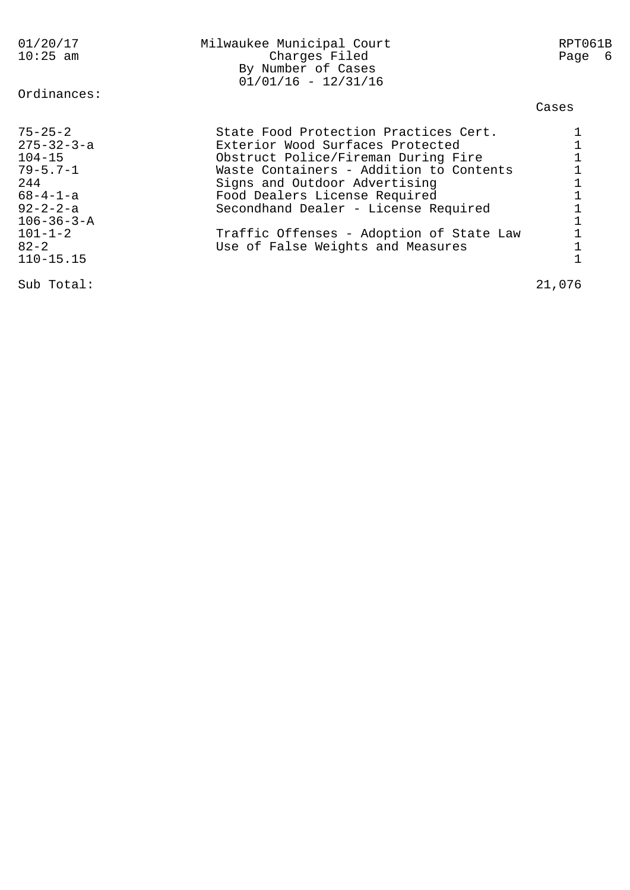| 01/20/17<br>$10:25$ am | Milwaukee Municipal Court<br>Charges Filed<br>By Number of Cases<br>$01/01/16 - 12/31/16$ | RPT061B<br>Page<br>- 6 |
|------------------------|-------------------------------------------------------------------------------------------|------------------------|
| Ordinances:            |                                                                                           | Cases                  |
| $75 - 25 - 2$          | State Food Protection Practices Cert.                                                     |                        |
| $275 - 32 - 3 - a$     | Exterior Wood Surfaces Protected                                                          |                        |
| $104 - 15$             | Obstruct Police/Fireman During Fire                                                       |                        |
| $79 - 5.7 - 1$         | Waste Containers - Addition to Contents                                                   |                        |
| 244                    | Signs and Outdoor Advertising                                                             |                        |
| $68 - 4 - 1 - a$       | Food Dealers License Required                                                             |                        |
| $92 - 2 - 2 - a$       | Secondhand Dealer - License Required                                                      |                        |
| $106 - 36 - 3 - A$     |                                                                                           |                        |
| $101 - 1 - 2$          | Traffic Offenses - Adoption of State Law                                                  |                        |
| $82 - 2$               | Use of False Weights and Measures                                                         |                        |
| $110 - 15.15$          |                                                                                           |                        |
| Sub Total:             |                                                                                           | 21,076                 |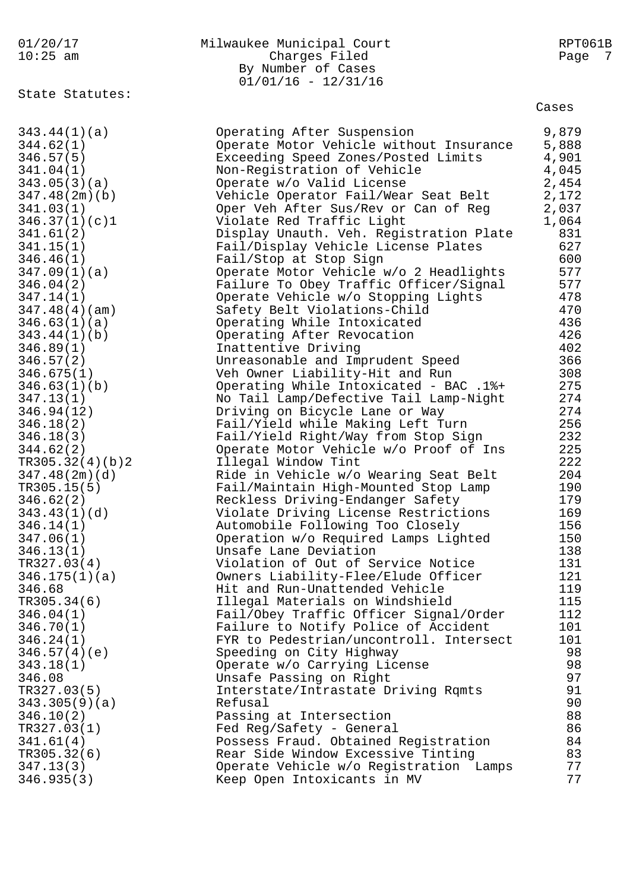| 01/20/17<br>$10:25$ am | Milwaukee Municipal Court<br>Charges Filed<br>By Number of Cases<br>$01/01/16 - 12/31/16$ | RPT061B<br>Page<br>7 |
|------------------------|-------------------------------------------------------------------------------------------|----------------------|
| State Statutes:        |                                                                                           | Cases                |
| 343.44(1)(a)           | Operating After Suspension                                                                | 9,879                |
| 344.62(1)              | Operate Motor Vehicle without Insurance                                                   | 5,888                |
| 346.57(5)              | Exceeding Speed Zones/Posted Limits                                                       | 4,901                |
| 341.04(1)              | Non-Registration of Vehicle                                                               | 4,045                |
| 343.05(3)(a)           | Operate w/o Valid License                                                                 | 2,454                |
| 347.48(2m)(b)          | Vehicle Operator Fail/Wear Seat Belt                                                      | 2,172                |
| 341.03(1)              | Oper Veh After Sus/Rev or Can of Reg                                                      | 2,037                |
| 346.37(1)(c)1          | Violate Red Traffic Light                                                                 | 1,064                |
| 341.61(2)              | Display Unauth. Veh. Registration Plate                                                   | 831                  |
| 341.15(1)              | Fail/Display Vehicle License Plates                                                       | 627                  |
| 346.46(1)              | Fail/Stop at Stop Sign                                                                    | 600                  |
| 347.09(1)(a)           | Operate Motor Vehicle w/o 2 Headlights                                                    | 577                  |
| 346.04(2)              | Failure To Obey Traffic Officer/Signal                                                    | 577                  |
| 347.14(1)              | Operate Vehicle w/o Stopping Lights                                                       | 478                  |
| 347.48(4)(am)          | Safety Belt Violations-Child                                                              | 470                  |
| 346.63(1)(a)           | Operating While Intoxicated                                                               | 436                  |
| 343.44(1)(b)           | Operating After Revocation                                                                | 426                  |
| 346.89(1)              | Inattentive Driving                                                                       | 402                  |
| 346.57(2)              | Unreasonable and Imprudent Speed                                                          | 366                  |
| 346.675(1)             | Veh Owner Liability-Hit and Run                                                           | 308                  |
| 346.63(1)(b)           | Operating While Intoxicated - BAC .1%+                                                    | 275                  |
| 347.13(1)              | No Tail Lamp/Defective Tail Lamp-Night                                                    | 274                  |
| 346.94(12)             | Driving on Bicycle Lane or Way                                                            | 274                  |
| 346.18(2)              | Fail/Yield while Making Left Turn                                                         | 256                  |
| 346.18(3)              | Fail/Yield Right/Way from Stop Sign                                                       | 232                  |
| 344.62(2)              | Operate Motor Vehicle w/o Proof of Ins                                                    | 225                  |
| TR305.32(4)(b)2        | Illegal Window Tint                                                                       | 222                  |
| 347.48(2m)(d)          | Ride in Vehicle w/o Wearing Seat Belt                                                     | 204                  |
| TR305.15(5)            | Fail/Maintain High-Mounted Stop Lamp                                                      | 190                  |
| 346.62(2)              | Reckless Driving-Endanger Safety                                                          | 179                  |
| 343.43(1)(d)           | Violate Driving License Restrictions                                                      | 169                  |
| 346.14(1)              | Automobile Following Too Closely                                                          | 156                  |
| 347.06(1)              | Operation w/o Required Lamps Lighted                                                      | 150                  |
| 346.13(1)              | Unsafe Lane Deviation                                                                     | 138                  |
| TR327.03(4)            | Violation of Out of Service Notice                                                        | 131                  |
| 346.175(1)(a)          | Owners Liability-Flee/Elude Officer                                                       | 121                  |
| 346.68                 | Hit and Run-Unattended Vehicle                                                            | 119                  |
| TR305.34(6)            | Illegal Materials on Windshield                                                           | 115                  |
| 346.04(1)              | Fail/Obey Traffic Officer Signal/Order                                                    | 112                  |
| 346.70(1)              | Failure to Notify Police of Accident                                                      | 101                  |
| 346.24(1)              | FYR to Pedestrian/uncontroll. Intersect                                                   | 101                  |
| 346.57(4)(e)           | Speeding on City Highway                                                                  | 98                   |
| 343.18(1)              | Operate w/o Carrying License                                                              | 98                   |
| 346.08                 | Unsafe Passing on Right                                                                   | 97                   |
| TR327.03(5)            | Interstate/Intrastate Driving Rqmts                                                       | 91                   |
| 343.305(9)(a)          | Refusal                                                                                   | 90                   |
| 346.10(2)              | Passing at Intersection                                                                   | 88                   |
| TR327.03(1)            | Fed Reg/Safety - General                                                                  | 86                   |
| 341.61(4)              | Possess Fraud. Obtained Registration                                                      | 84                   |
| TR305.32(6)            | Rear Side Window Excessive Tinting                                                        | 83                   |
| 347.13(3)              | Operate Vehicle w/o Registration Lamps                                                    | 77                   |
| 346.935(3)             | Keep Open Intoxicants in MV                                                               | 77                   |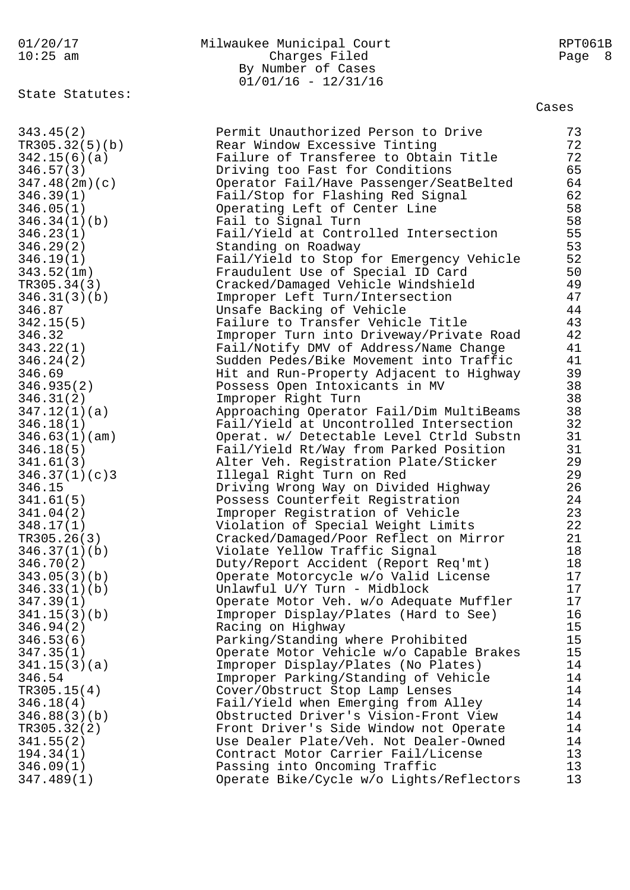01/20/17 Milwaukee Municipal Court RPT061B 10:25 am Charges Filed Page 8 By Number of Cases 01/01/16 - 12/31/16 State Statutes: Cases 343.45(2) Permit Unauthorized Person to Drive 73 TR305.32(5)(b) Rear Window Excessive Tinting 72 342.15(6)(a) Failure of Transferee to Obtain Title 72 346.57(3) Driving too Fast for Conditions 65 347.48(2m)(c) Operator Fail/Have Passenger/SeatBelted 64 346.39(1) Fail/Stop for Flashing Red Signal 62 346.05(1) Operating Left of Center Line 58 346.34(1)(b) Fail to Signal Turn 58 346.23(1) Fail/Yield at Controlled Intersection 55 346.29(2) Standing on Roadway 53 346.19(1) Fail/Yield to Stop for Emergency Vehicle 52 343.52(1m) Fraudulent Use of Special ID Card 50 TR305.34(3) Cracked/Damaged Vehicle Windshield 49 346.31(3)(b) Improper Left Turn/Intersection 47 346.87 Unsafe Backing of Vehicle 44 342.15(5) Failure to Transfer Vehicle Title 43 346.32 Improper Turn into Driveway/Private Road 42 343.22(1) Fail/Notify DMV of Address/Name Change 41 346.24(2) Sudden Pedes/Bike Movement into Traffic 41 346.69 Hit and Run-Property Adjacent to Highway 39 346.935(2) Possess Open Intoxicants in MV 38 346.31(2) Improper Right Turn 38 347.12(1)(a) Approaching Operator Fail/Dim MultiBeams 38 346.18(1) Fail/Yield at Uncontrolled Intersection 32 346.63(1)(am) Operat. w/ Detectable Level Ctrld Substn 31 346.18(5) Fail/Yield Rt/Way from Parked Position 31 341.61(3) Alter Veh. Registration Plate/Sticker 29 346.37(1)(c)3 Illegal Right Turn on Red 29 346.15 Driving Wrong Way on Divided Highway 26 341.61(5) Possess Counterfeit Registration 24 341.04(2) Improper Registration of Vehicle 23 348.17(1) Violation of Special Weight Limits 22 TR305.26(3) Cracked/Damaged/Poor Reflect on Mirror 21 346.37(1)(b) Violate Yellow Traffic Signal 18 346.70(2) Duty/Report Accident (Report Req'mt) 18 343.05(3)(b) Operate Motorcycle w/o Valid License 17 346.33(1)(b) Unlawful U/Y Turn - Midblock 17 347.39(1) Operate Motor Veh. w/o Adequate Muffler 17 341.15(3)(b) Improper Display/Plates (Hard to See) 16 346.94(2) Racing on Highway 15 346.53(6) Parking/Standing where Prohibited 15 347.35(1) Operate Motor Vehicle w/o Capable Brakes 15 341.15(3)(a) Improper Display/Plates (No Plates) 14 346.54 Improper Parking/Standing of Vehicle 14 TR305.15(4) Cover/Obstruct Stop Lamp Lenses 14 346.18(4) Fail/Yield when Emerging from Alley 14 346.88(3)(b) Obstructed Driver's Vision-Front View 14 TR305.32(2) Front Driver's Side Window not Operate 14 341.55(2) Use Dealer Plate/Veh. Not Dealer-Owned 14 194.34(1) Contract Motor Carrier Fail/License 13 346.09(1) Passing into Oncoming Traffic 13 347.489(1) Operate Bike/Cycle w/o Lights/Reflectors 13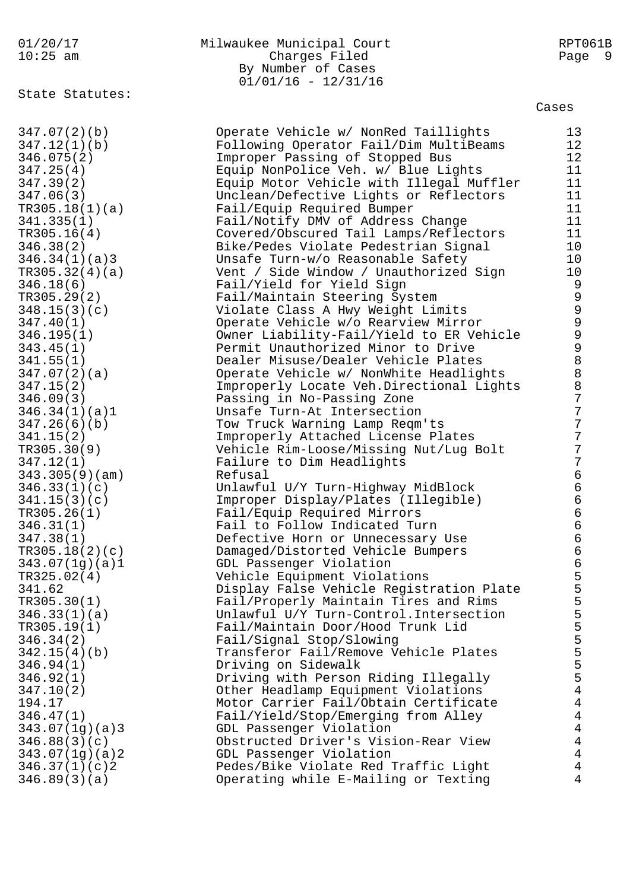# 01/20/17 Milwaukee Municipal Court RPT061B 10:25 am Charges Filed Page 9 By Number of Cases 01/01/16 - 12/31/16

State Statutes:

347.07(2)(b) Operate Vehicle w/ NonRed Taillights 13 347.12(1)(b) Following Operator Fail/Dim MultiBeams 12 346.94(1) Driving on Sidewalk 5 346.92(1) Driving with Person Riding Illegally 5 347.10(2) Other Headlamp Equipment Violations 4 194.17 Motor Carrier Fail/Obtain Certificate 4 346.47(1) Fail/Yield/Stop/Emerging from Alley 4 343.07(1g)(a)3 GDL Passenger Violation 4 346.88(3)(c) Obstructed Driver's Vision-Rear View 4 343.07(1g)(a)2 GDL Passenger Violation 4 346.37(1)(c)2 Pedes/Bike Violate Red Traffic Light 4 346.89(3)(a) Operating while E-Mailing or Texting 4

346.075(2) Improper Passing of Stopped Bus 12 347.25(4) Equip NonPolice Veh. w/ Blue Lights 11 347.39(2) Equip Motor Vehicle with Illegal Muffler 11 347.06(3) Unclean/Defective Lights or Reflectors 11 TR305.18(1)(a) Fail/Equip Required Bumper 11 341.335(1) Fail/Notify DMV of Address Change 11 TR305.16(4) Covered/Obscured Tail Lamps/Reflectors 11 346.38(2) Bike/Pedes Violate Pedestrian Signal 10 346.34(1)(a)3 Unsafe Turn-w/o Reasonable Safety 10 TR305.32(4)(a) Vent / Side Window / Unauthorized Sign 10 346.18(6) Fail/Yield for Yield Sign 9 TR305.29(2) Fail/Maintain Steering System 9 348.15(3)(c) Violate Class A Hwy Weight Limits 9 347.40(1) Operate Vehicle w/o Rearview Mirror 9 346.195(1) Owner Liability-Fail/Yield to ER Vehicle 9 343.45(1) Permit Unauthorized Minor to Drive 9 341.55(1) Dealer Misuse/Dealer Vehicle Plates 8 347.07(2)(a) Operate Vehicle w/ NonWhite Headlights 8 347.15(2) Improperly Locate Veh.Directional Lights 8 346.09(3) Passing in No-Passing Zone 7 346.34(1)(a)1 Unsafe Turn-At Intersection 7 347.26(6)(b) Tow Truck Warning Lamp Reqm'ts 7 341.15(2) Improperly Attached License Plates 7 TR305.30(9) Vehicle Rim-Loose/Missing Nut/Lug Bolt 7 347.12(1) Failure to Dim Headlights 7 343.305(9)(am) Refusal 6 346.33(1)(c) Unlawful U/Y Turn-Highway MidBlock 6 341.15(3)(c) Improper Display/Plates (Illegible) 6 TR305.26(1) Fail/Equip Required Mirrors 6 346.31(1) Fail to Follow Indicated Turn 6 347.38(1) Defective Horn or Unnecessary Use 6 TR305.18(2)(c) Damaged/Distorted Vehicle Bumpers 6 343.07(1g)(a)1 GDL Passenger Violation 6 TR325.02(4) Vehicle Equipment Violations 5 341.62 Display False Vehicle Registration Plate 5 TR305.30(1) Fail/Properly Maintain Tires and Rims 5 346.33(1)(a) Unlawful U/Y Turn-Control.Intersection 5 TR305.19(1) Fail/Maintain Door/Hood Trunk Lid 5 346.34(2) Fail/Signal Stop/Slowing 5 342.15(4)(b) Transferor Fail/Remove Vehicle Plates 5

Cases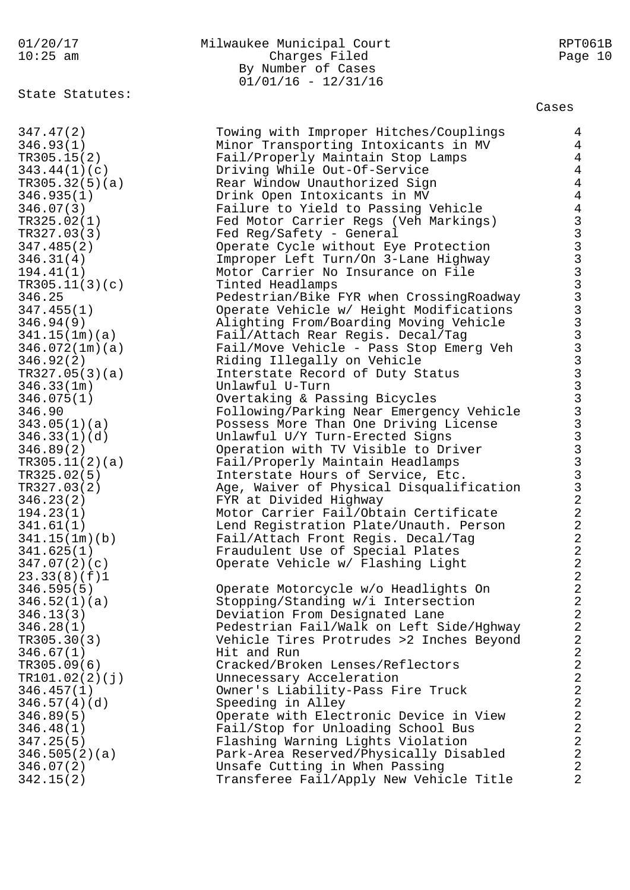01/20/17 Milwaukee Municipal Court RPT061B 10:25 am Charges Filed Page 10 By Number of Cases 01/01/16 - 12/31/16 State Statutes: Cases 347.47(2) Towing with Improper Hitches/Couplings 4 346.93(1) Minor Transporting Intoxicants in MV 4 TR305.15(2) Fail/Properly Maintain Stop Lamps 4 343.44(1)(c) Driving While Out-Of-Service 4 TR305.32(5)(a) Rear Window Unauthorized Sign 4 346.935(1) Drink Open Intoxicants in MV 4 346.07(3) Failure to Yield to Passing Vehicle 4 TR325.02(1) Fed Motor Carrier Regs (Veh Markings) 3 TR327.03(3) Fed Reg/Safety - General 3 347.485(2) Operate Cycle without Eye Protection 3 346.31(4) Improper Left Turn/On 3-Lane Highway 3 194.41(1) Motor Carrier No Insurance on File 3 TR305.11(3)(c) Tinted Headlamps 3 346.25 Pedestrian/Bike FYR when CrossingRoadway 3 347.455(1) Operate Vehicle w/ Height Modifications 3 346.94(9) Alighting From/Boarding Moving Vehicle 3 341.15(1m)(a) Fail/Attach Rear Regis. Decal/Tag 3 346.072(1m)(a) Fail/Move Vehicle - Pass Stop Emerg Veh 3 346.92(2) Riding Illegally on Vehicle 3 TR327.05(3)(a) Interstate Record of Duty Status 3 346.33(1m) Unlawful U-Turn 3 346.075(1) Overtaking & Passing Bicycles 3 346.90 Following/Parking Near Emergency Vehicle 3 343.05(1)(a) Possess More Than One Driving License 3 346.33(1)(d) Unlawful U/Y Turn-Erected Signs 3 346.89(2) Operation with TV Visible to Driver 3 TR305.11(2)(a) Fail/Properly Maintain Headlamps 3 TR325.02(5) Therstate Hours of Service, Etc. 3 TR327.03(2) Age, Waiver of Physical Disqualification 3 346.23(2) FYR at Divided Highway 2 194.23(1) Motor Carrier Fail/Obtain Certificate 2 341.61(1) Lend Registration Plate/Unauth. Person 2 341.15(1m)(b) Fail/Attach Front Regis. Decal/Tag 2 341.625(1) Fraudulent Use of Special Plates 2 347.07(2)(c) Operate Vehicle w/ Flashing Light 2 23.33(8)(f)1 2 346.595(5) Operate Motorcycle w/o Headlights On 2 346.52(1)(a) Stopping/Standing w/i Intersection 2 346.13(3) Deviation From Designated Lane 2 346.28(1) Pedestrian Fail/Walk on Left Side/Hghway 2 TR305.30(3) Vehicle Tires Protrudes >2 Inches Beyond 2 346.67(1) Hit and Run 2 TR305.09(6) Cracked/Broken Lenses/Reflectors 2 TR101.02(2)(j) Unnecessary Acceleration 2 346.457(1) Owner's Liability-Pass Fire Truck 2 346.57(4)(d) Speeding in Alley 2 346.89(5) Operate with Electronic Device in View 2 346.48(1) Fail/Stop for Unloading School Bus 2 347.25(5) Flashing Warning Lights Violation 2 346.505(2)(a) Park-Area Reserved/Physically Disabled 2 346.07(2) Unsafe Cutting in When Passing 2 342.15(2) Transferee Fail/Apply New Vehicle Title 2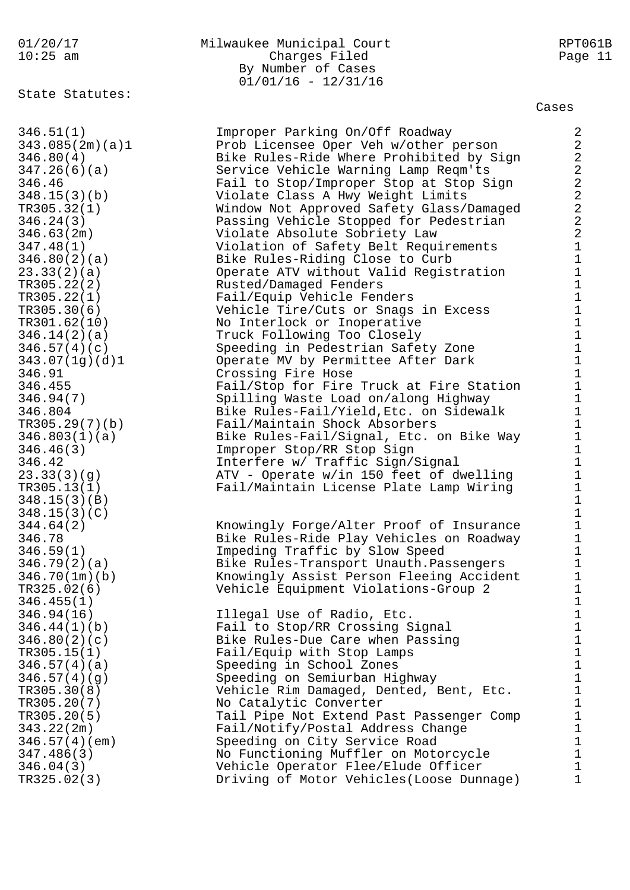State Statutes:

346.04(3) Vehicle Operator Flee/Elude Officer 1 TR325.02(3) Driving of Motor Vehicles(Loose Dunnage) 1

## 01/20/17 Milwaukee Municipal Court RPT061B 10:25 am Charges Filed Page 11 By Number of Cases 01/01/16 - 12/31/16

Cases

346.51(1) Improper Parking On/Off Roadway 2 343.085(2m)(a)1 Prob Licensee Oper Veh w/other person 2 346.80(4) Bike Rules-Ride Where Prohibited by Sign 2 347.26(6)(a) Service Vehicle Warning Lamp Reqm'ts 2 346.46 Fail to Stop/Improper Stop at Stop Sign 2 348.15(3)(b) Violate Class A Hwy Weight Limits 2 TR305.32(1) Window Not Approved Safety Glass/Damaged 2 346.24(3) Passing Vehicle Stopped for Pedestrian 2 346.63(2m) Violate Absolute Sobriety Law 2 347.48(1) Violation of Safety Belt Requirements 1 346.80(2)(a) Bike Rules-Riding Close to Curb 1 23.33(2)(a) Operate ATV without Valid Registration 1 TR305.22(2) Rusted/Damaged Fenders 1 TR305.22(1) Fail/Equip Vehicle Fenders 1 TR305.30(6) Vehicle Tire/Cuts or Snags in Excess 1 TR301.62(10) No Interlock or Inoperative 1 346.14(2)(a) Truck Following Too Closely 1 346.57(4)(c) Speeding in Pedestrian Safety Zone 1 343.07(1g)(d)1 Operate MV by Permittee After Dark 1 346.91 Crossing Fire Hose 1 346.455 Fail/Stop for Fire Truck at Fire Station 1 346.94(7) Spilling Waste Load on/along Highway 1 346.804 Bike Rules-Fail/Yield,Etc. on Sidewalk 1 TR305.29(7)(b) Fail/Maintain Shock Absorbers 1 346.803(1)(a) Bike Rules-Fail/Signal, Etc. on Bike Way 1 346.46(3) Tmproper Stop/RR Stop Sign 1 346.42 Interfere w/ Traffic Sign/Signal 1 23.33(3)(g) ATV - Operate w/in 150 feet of dwelling 1 TR305.13(1) Fail/Maintain License Plate Lamp Wiring 1  $348.15(3)(B)$  1  $348.15(3)(C)$  1 344.64(2) Knowingly Forge/Alter Proof of Insurance 1 346.78 Bike Rules-Ride Play Vehicles on Roadway 1 346.59(1) Impeding Traffic by Slow Speed 1 346.79(2)(a) Bike Rules-Transport Unauth.Passengers 1 346.70(1m)(b) Knowingly Assist Person Fleeing Accident 1 TR325.02(6) Vehicle Equipment Violations-Group 2 1  $346.455(1)$  1 346.94(16) Illegal Use of Radio, Etc. 1 346.44(1)(b) Fail to Stop/RR Crossing Signal 1 346.80(2)(c) Bike Rules-Due Care when Passing 1 TR305.15(1) Fail/Equip with Stop Lamps 1 346.57(4)(a) Speeding in School Zones 1 346.57(4)(g) Speeding on Semiurban Highway 1 TR305.30(8) Vehicle Rim Damaged, Dented, Bent, Etc. 1 TR305.20(7) No Catalytic Converter 1 TR305.20(5) Tail Pipe Not Extend Past Passenger Comp 1 343.22(2m) Fail/Notify/Postal Address Change 1 346.57(4)(em) Speeding on City Service Road 1 347.486(3) No Functioning Muffler on Motorcycle 1